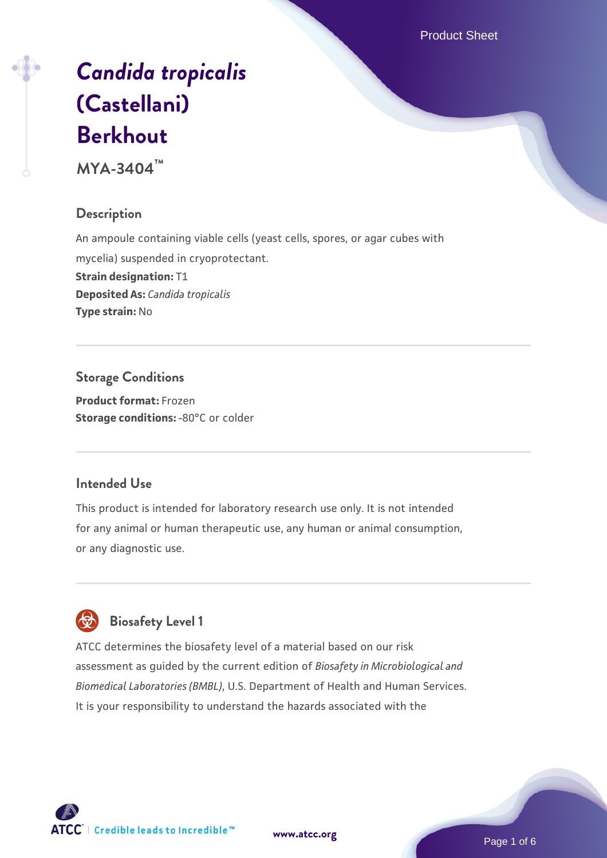Product Sheet

# *[Candida tropicalis](https://www.atcc.org/products/mya-3404)* **[\(Castellani\)](https://www.atcc.org/products/mya-3404) [Berkhout](https://www.atcc.org/products/mya-3404)**

**MYA-3404™**

# **Description**

An ampoule containing viable cells (yeast cells, spores, or agar cubes with mycelia) suspended in cryoprotectant. **Strain designation:** T1 **Deposited As:** *Candida tropicalis* **Type strain:** No

**Storage Conditions Product format:** Frozen **Storage conditions: -80°C or colder** 

# **Intended Use**

This product is intended for laboratory research use only. It is not intended for any animal or human therapeutic use, any human or animal consumption, or any diagnostic use.



# **Biosafety Level 1**

ATCC determines the biosafety level of a material based on our risk assessment as guided by the current edition of *Biosafety in Microbiological and Biomedical Laboratories (BMBL)*, U.S. Department of Health and Human Services. It is your responsibility to understand the hazards associated with the



Page 1 of 6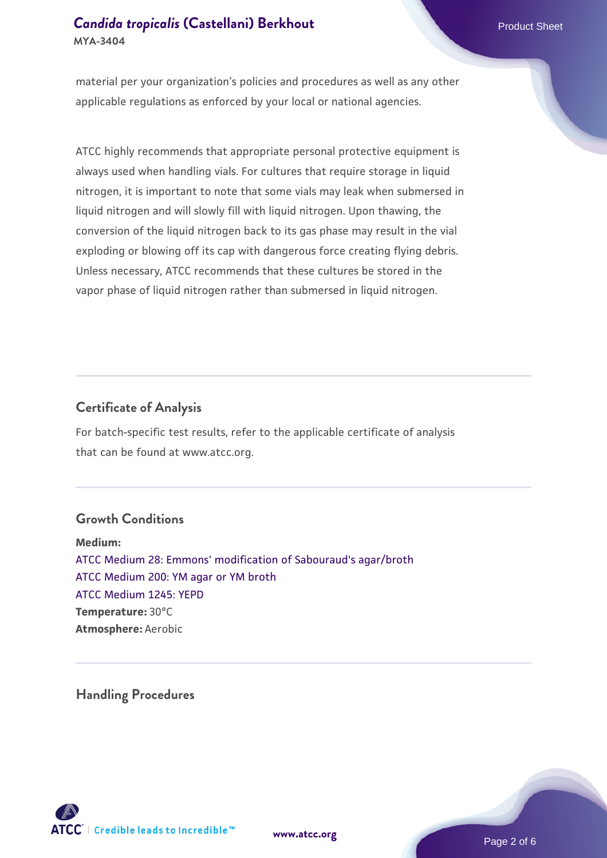# **[Candida tropicalis](https://www.atcc.org/products/mya-3404) [\(Castellani\) Berkhout](https://www.atcc.org/products/mya-3404) Product Sheet Product Sheet MYA-3404**

material per your organization's policies and procedures as well as any other applicable regulations as enforced by your local or national agencies.

ATCC highly recommends that appropriate personal protective equipment is always used when handling vials. For cultures that require storage in liquid nitrogen, it is important to note that some vials may leak when submersed in liquid nitrogen and will slowly fill with liquid nitrogen. Upon thawing, the conversion of the liquid nitrogen back to its gas phase may result in the vial exploding or blowing off its cap with dangerous force creating flying debris. Unless necessary, ATCC recommends that these cultures be stored in the vapor phase of liquid nitrogen rather than submersed in liquid nitrogen.

## **Certificate of Analysis**

For batch-specific test results, refer to the applicable certificate of analysis that can be found at www.atcc.org.

### **Growth Conditions**

**Medium:**  [ATCC Medium 28: Emmons' modification of Sabouraud's agar/broth](https://www.atcc.org/-/media/product-assets/documents/microbial-media-formulations/2/8/atcc-medium-28.pdf?rev=0da0c58cc2a343eeae735016b70809bb) [ATCC Medium 200: YM agar or YM broth](https://www.atcc.org/-/media/product-assets/documents/microbial-media-formulations/2/0/0/atcc-medium-200.pdf?rev=ac40fd74dc13433a809367b0b9da30fc) [ATCC Medium 1245: YEPD](https://www.atcc.org/-/media/product-assets/documents/microbial-media-formulations/1/2/4/5/atcc-medium-1245.pdf?rev=705ca55d1b6f490a808a965d5c072196) **Temperature:** 30°C **Atmosphere:** Aerobic

**Handling Procedures**



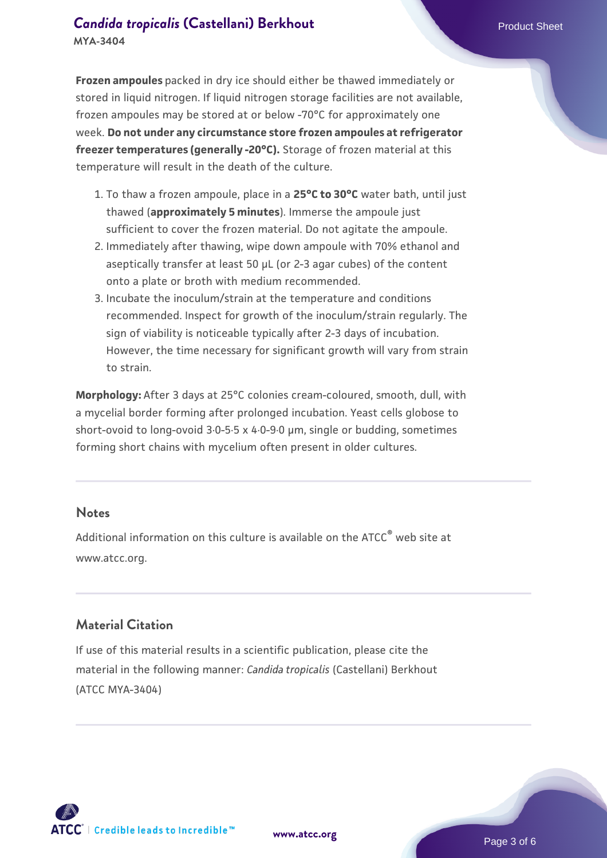**Frozen ampoules** packed in dry ice should either be thawed immediately or stored in liquid nitrogen. If liquid nitrogen storage facilities are not available, frozen ampoules may be stored at or below -70°C for approximately one week. **Do not under any circumstance store frozen ampoules at refrigerator freezer temperatures (generally -20°C).** Storage of frozen material at this temperature will result in the death of the culture.

- 1. To thaw a frozen ampoule, place in a **25°C to 30°C** water bath, until just thawed (**approximately 5 minutes**). Immerse the ampoule just sufficient to cover the frozen material. Do not agitate the ampoule.
- 2. Immediately after thawing, wipe down ampoule with 70% ethanol and aseptically transfer at least 50 µL (or 2-3 agar cubes) of the content onto a plate or broth with medium recommended.
- Incubate the inoculum/strain at the temperature and conditions 3. recommended. Inspect for growth of the inoculum/strain regularly. The sign of viability is noticeable typically after 2-3 days of incubation. However, the time necessary for significant growth will vary from strain to strain.

**Morphology:** After 3 days at 25°C colonies cream-coloured, smooth, dull, with a mycelial border forming after prolonged incubation. Yeast cells globose to short-ovoid to long-ovoid 3·0-5·5 x 4·0-9·0 µm, single or budding, sometimes forming short chains with mycelium often present in older cultures.

#### **Notes**

Additional information on this culture is available on the ATCC<sup>®</sup> web site at www.atcc.org.

# **Material Citation**

If use of this material results in a scientific publication, please cite the material in the following manner: *Candida tropicalis* (Castellani) Berkhout (ATCC MYA-3404)

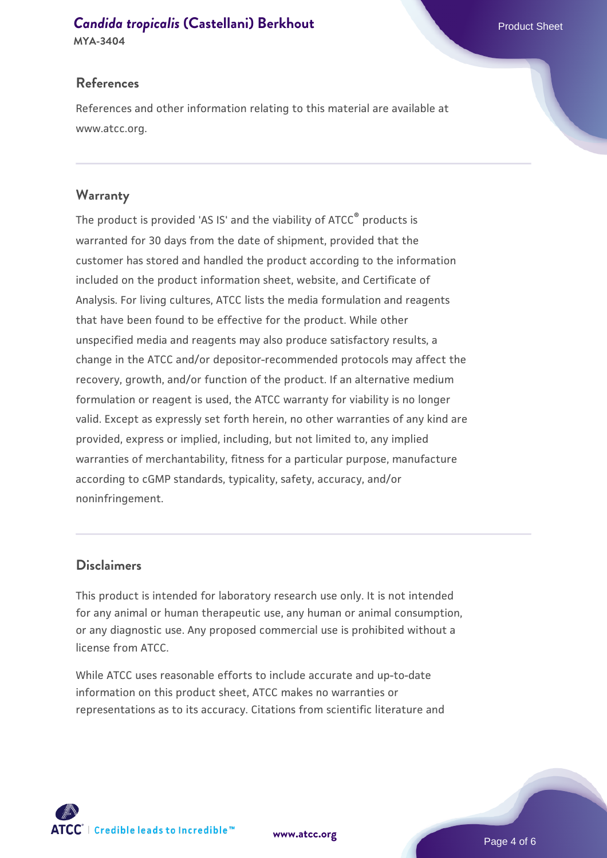# **[Candida tropicalis](https://www.atcc.org/products/mya-3404) [\(Castellani\) Berkhout](https://www.atcc.org/products/mya-3404) Product Sheet Product Sheet**

**MYA-3404**

# **References**

References and other information relating to this material are available at www.atcc.org.

# **Warranty**

The product is provided 'AS IS' and the viability of ATCC® products is warranted for 30 days from the date of shipment, provided that the customer has stored and handled the product according to the information included on the product information sheet, website, and Certificate of Analysis. For living cultures, ATCC lists the media formulation and reagents that have been found to be effective for the product. While other unspecified media and reagents may also produce satisfactory results, a change in the ATCC and/or depositor-recommended protocols may affect the recovery, growth, and/or function of the product. If an alternative medium formulation or reagent is used, the ATCC warranty for viability is no longer valid. Except as expressly set forth herein, no other warranties of any kind are provided, express or implied, including, but not limited to, any implied warranties of merchantability, fitness for a particular purpose, manufacture according to cGMP standards, typicality, safety, accuracy, and/or noninfringement.

# **Disclaimers**

This product is intended for laboratory research use only. It is not intended for any animal or human therapeutic use, any human or animal consumption, or any diagnostic use. Any proposed commercial use is prohibited without a license from ATCC.

While ATCC uses reasonable efforts to include accurate and up-to-date information on this product sheet, ATCC makes no warranties or representations as to its accuracy. Citations from scientific literature and



**[www.atcc.org](http://www.atcc.org)**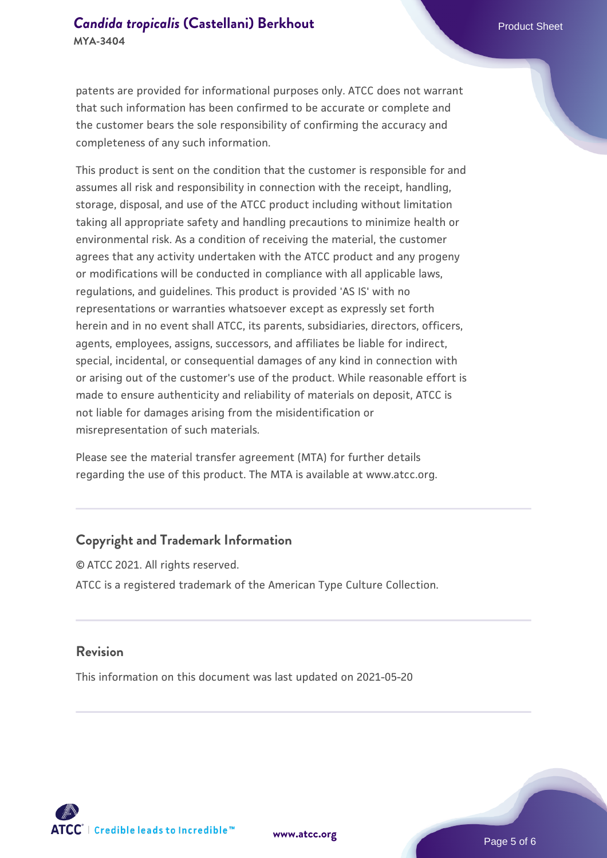patents are provided for informational purposes only. ATCC does not warrant that such information has been confirmed to be accurate or complete and the customer bears the sole responsibility of confirming the accuracy and completeness of any such information.

This product is sent on the condition that the customer is responsible for and assumes all risk and responsibility in connection with the receipt, handling, storage, disposal, and use of the ATCC product including without limitation taking all appropriate safety and handling precautions to minimize health or environmental risk. As a condition of receiving the material, the customer agrees that any activity undertaken with the ATCC product and any progeny or modifications will be conducted in compliance with all applicable laws, regulations, and guidelines. This product is provided 'AS IS' with no representations or warranties whatsoever except as expressly set forth herein and in no event shall ATCC, its parents, subsidiaries, directors, officers, agents, employees, assigns, successors, and affiliates be liable for indirect, special, incidental, or consequential damages of any kind in connection with or arising out of the customer's use of the product. While reasonable effort is made to ensure authenticity and reliability of materials on deposit, ATCC is not liable for damages arising from the misidentification or misrepresentation of such materials.

Please see the material transfer agreement (MTA) for further details regarding the use of this product. The MTA is available at www.atcc.org.

#### **Copyright and Trademark Information**

© ATCC 2021. All rights reserved. ATCC is a registered trademark of the American Type Culture Collection.

#### **Revision**

This information on this document was last updated on 2021-05-20